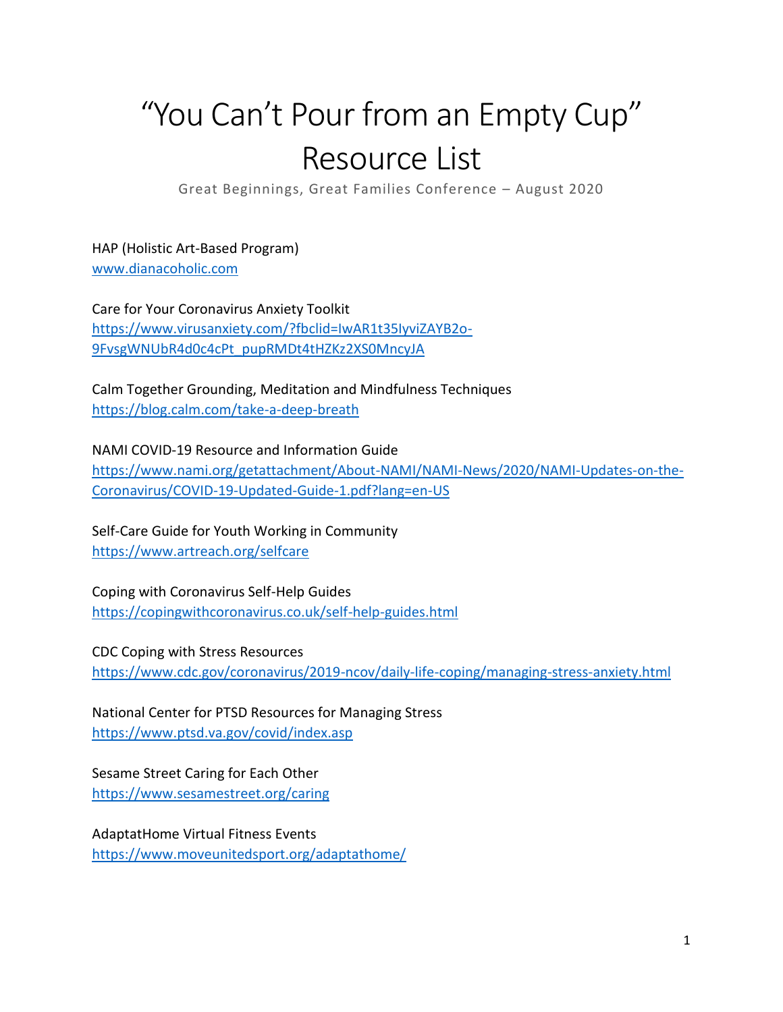## "You Can't Pour from an Empty Cup" Resource List

Great Beginnings, Great Families Conference – August 2020

HAP (Holistic Art-Based Program) [www.dianacoholic.com](http://www.dianacoholic.com/)

Care for Your Coronavirus Anxiety Toolkit [https://www.virusanxiety.com/?fbclid=IwAR1t35IyviZAYB2o-](https://www.virusanxiety.com/?fbclid=IwAR1t35IyviZAYB2o-9FvsgWNUbR4d0c4cPt_pupRMDt4tHZKz2XS0MncyJA)[9FvsgWNUbR4d0c4cPt\\_pupRMDt4tHZKz2XS0MncyJA](https://www.virusanxiety.com/?fbclid=IwAR1t35IyviZAYB2o-9FvsgWNUbR4d0c4cPt_pupRMDt4tHZKz2XS0MncyJA)

Calm Together Grounding, Meditation and Mindfulness Techniques <https://blog.calm.com/take-a-deep-breath>

NAMI COVID-19 Resource and Information Guide [https://www.nami.org/getattachment/About-NAMI/NAMI-News/2020/NAMI-Updates-on-the-](https://www.nami.org/getattachment/About-NAMI/NAMI-News/2020/NAMI-Updates-on-the-Coronavirus/COVID-19-Updated-Guide-1.pdf?lang=en-US)[Coronavirus/COVID-19-Updated-Guide-1.pdf?lang=en-US](https://www.nami.org/getattachment/About-NAMI/NAMI-News/2020/NAMI-Updates-on-the-Coronavirus/COVID-19-Updated-Guide-1.pdf?lang=en-US)

Self-Care Guide for Youth Working in Community <https://www.artreach.org/selfcare>

Coping with Coronavirus Self-Help Guides <https://copingwithcoronavirus.co.uk/self-help-guides.html>

CDC Coping with Stress Resources <https://www.cdc.gov/coronavirus/2019-ncov/daily-life-coping/managing-stress-anxiety.html>

National Center for PTSD Resources for Managing Stress <https://www.ptsd.va.gov/covid/index.asp>

Sesame Street Caring for Each Other <https://www.sesamestreet.org/caring>

AdaptatHome Virtual Fitness Events <https://www.moveunitedsport.org/adaptathome/>